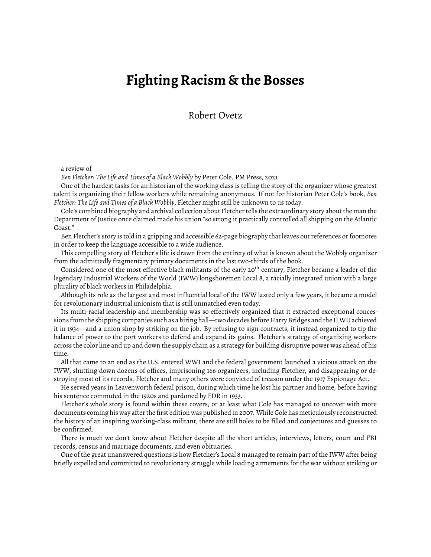## **Fighting Racism & the Bosses**

Robert Ovetz

## a review of

*Ben Fletcher: The Life and Times of a Black Wobbly* by Peter Cole. PM Press, 2021

One of the hardest tasks for an historian of the working class is telling the story of the organizer whose greatest talent is organizing their fellow workers while remaining anonymous. If not for historian Peter Cole's book, *Ben Fletcher: The Life and Times of a Black Wobbly*, Fletcher might still be unknown to us today.

Cole's combined biography and archival collection about Fletcher tells the extraordinary story about the man the Department of Justice once claimed made his union "so strong it practically controlled all shipping on the Atlantic Coast."

Ben Fletcher's story is told in a gripping and accessible 62-page biography that leaves out references or footnotes in order to keep the language accessible to a wide audience.

This compelling story of Fletcher's life is drawn from the entirety of what is known about the Wobbly organizer from the admittedly fragmentary primary documents in the last two-thirds of the book.

Considered one of the most effective black militants of the early 20<sup>th</sup> century, Fletcher became a leader of the legendary Industrial Workers of the World (IWW) longshoremen Local 8, a racially integrated union with a large plurality of black workers in Philadelphia.

Although its role as the largest and most influential local of the IWW lasted only a few years, it became a model for revolutionary industrial unionism that is still unmatched even today.

Its multi-racial leadership and membership was so effectively organized that it extracted exceptional concessions from the shipping companies such as a hiring hall—two decades before Harry Bridges and the ILWU achieved it in 1934—and a union shop by striking on the job. By refusing to sign contracts, it instead organized to tip the balance of power to the port workers to defend and expand its gains. Fletcher's strategy of organizing workers across the color line and up and down the supply chain as a strategy for building disruptive power was ahead of his time.

All that came to an end as the U.S. entered WWI and the federal government launched a vicious attack on the IWW, shutting down dozens of offices, imprisoning 166 organizers, including Fletcher, and disappearing or destroying most of its records. Fletcher and many others were convicted of treason under the 1917 Espionage Act.

He served years in Leavenworth federal prison, during which time he lost his partner and home, before having his sentence commuted in the 1920s and pardoned by FDR in 1933.

Fletcher's whole story is found within these covers, or at least what Cole has managed to uncover with more documents coming his way after the first edition was published in 2007. While Cole has meticulously reconstructed the history of an inspiring working-class militant, there are still holes to be filled and conjectures and guesses to be confirmed.

There is much we don't know about Fletcher despite all the short articles, interviews, letters, court and FBI records, census and marriage documents, and even obituaries.

One of the great unanswered questions is how Fletcher's Local 8 managed to remain part of the IWW after being briefly expelled and committed to revolutionary struggle while loading armements for the war without striking or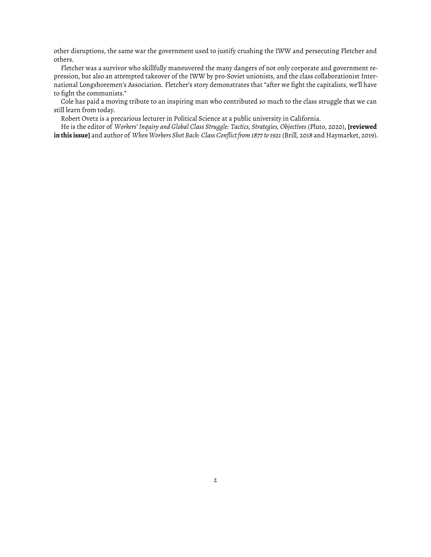other disruptions, the same war the government used to justify crushing the IWW and persecuting Fletcher and others.

Fletcher was a survivor who skillfully maneuvered the many dangers of not only corporate and government repression, but also an attempted takeover of the IWW by pro-Soviet unionists, and the class collaborationist International Longshoremen's Association. Fletcher's story demonstrates that "after we fight the capitalists, we'll have to fight the communists."

Cole has paid a moving tribute to an inspiring man who contributed so much to the class struggle that we can still learn from today.

Robert Ovetz is a precarious lecturer in Political Science at a public university in California.

He is the editor of *Workers' Inquiry and Global Class Struggle: Tactics, Strategies, Objectives* (Pluto, 2020), **[\[reviewed](https://www.fifthestate.org/archive/410-fall-2021/class-war-world-wide/) [inthisissue](https://www.fifthestate.org/archive/410-fall-2021/class-war-world-wide/)]** and author of *When Workers Shot Back: Class Conflict from 1877 to 1921* (Brill, 2018 and Haymarket, 2019).